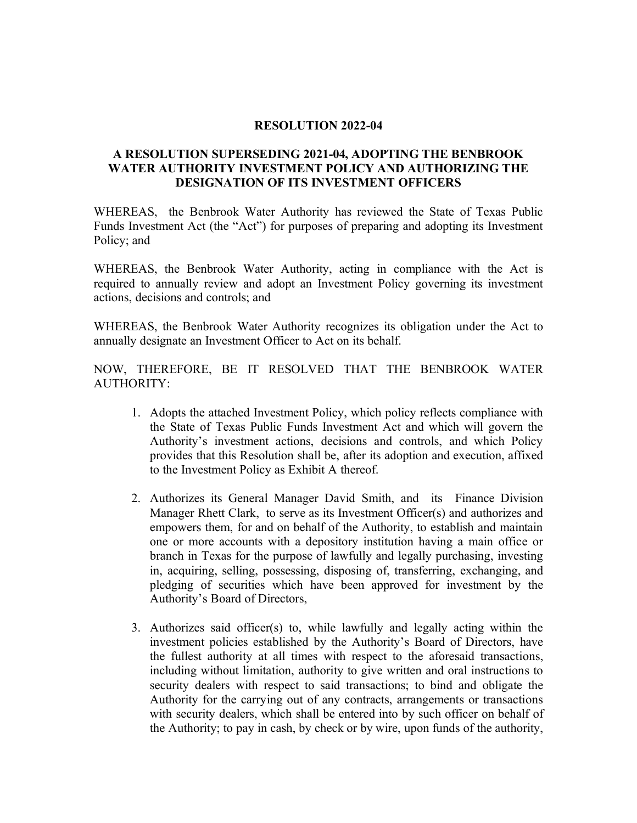## **RESOLUTION 2022-04**

## **A RESOLUTION SUPERSEDING 2021-04, ADOPTING THE BENBROOK WATER AUTHORITY INVESTMENT POLICY AND AUTHORIZING THE DESIGNATION OF ITS INVESTMENT OFFICERS**

WHEREAS, the Benbrook Water Authority has reviewed the State of Texas Public Funds Investment Act (the "Act") for purposes of preparing and adopting its Investment Policy; and

WHEREAS, the Benbrook Water Authority, acting in compliance with the Act is required to annually review and adopt an Investment Policy governing its investment actions, decisions and controls; and

WHEREAS, the Benbrook Water Authority recognizes its obligation under the Act to annually designate an Investment Officer to Act on its behalf.

NOW, THEREFORE, BE IT RESOLVED THAT THE BENBROOK WATER AUTHORITY:

- 1. Adopts the attached Investment Policy, which policy reflects compliance with the State of Texas Public Funds Investment Act and which will govern the Authority's investment actions, decisions and controls, and which Policy provides that this Resolution shall be, after its adoption and execution, affixed to the Investment Policy as Exhibit A thereof.
- 2. Authorizes its General Manager David Smith, and its Finance Division Manager Rhett Clark, to serve as its Investment Officer(s) and authorizes and empowers them, for and on behalf of the Authority, to establish and maintain one or more accounts with a depository institution having a main office or branch in Texas for the purpose of lawfully and legally purchasing, investing in, acquiring, selling, possessing, disposing of, transferring, exchanging, and pledging of securities which have been approved for investment by the Authority's Board of Directors,
- 3. Authorizes said officer(s) to, while lawfully and legally acting within the investment policies established by the Authority's Board of Directors, have the fullest authority at all times with respect to the aforesaid transactions, including without limitation, authority to give written and oral instructions to security dealers with respect to said transactions; to bind and obligate the Authority for the carrying out of any contracts, arrangements or transactions with security dealers, which shall be entered into by such officer on behalf of the Authority; to pay in cash, by check or by wire, upon funds of the authority,